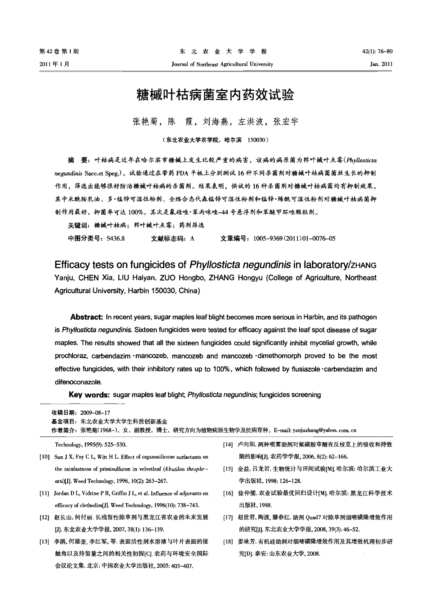# 糖槭叶枯病菌室内药效试验

张艳菊, 陈 霞, 刘海燕, 左洪波, 张宏宇

(东北农业大学农学院,哈尔滨 150030)

摘 要: 叶枯病是近年在哈尔滨市糖械上发生比较严重的病害,该病的病原菌为梣叶械叶点霉(Phyllosticta negundinis Sacc.et Speg.)。试验通过在带药 PDA 平板上分别测试 16 种不同杀菌剂对糖械叶枯病菌菌丝生长的抑制 作用,筛选出能够很好防治糖槭叶枯病的杀菌剂。结果表明,供试的16种杀菌剂对糖槭叶枯病菌均有抑制效果, 其中米酰胺乳油、多·锰锌可湿性粉剂、全络合态代森锰锌可湿性粉剂和锰锌·烯酰可湿性粉剂对糖械叶枯病菌抑 制作用最好, 抑菌率可达100%。其次是氟硅唑·苯丙咪唑-44号悬浮剂和苯醚甲环唑颗粒剂。

关键词: 糖槭叶枯病; 梣叶槭叶点霉; 药剂筛选 中图分类号: S436.8 文献标志码: A 文章编号: 1005-9369 (2011) 01-0076-05

Efficacy tests on fungicides of Phyllosticta negundinis in laboratory/zhang Yanju, CHEN Xia, LIU Haiyan, ZUO Hongbo, ZHANG Hongyu (College of Agriculture, Northeast Agricultural University, Harbin 150030, China)

Abstract: In recent years, sugar maples leaf blight becomes more serious in Harbin, and its pathogen is Phyllosticta negundinis. Sixteen fungicides were tested for efficacy against the leaf spot disease of sugar maples. The results showed that all the sixteen fungicides could significantly inhibit mycelial growth, while prochloraz, carbendazim · mancozeb, mancozeb and mancozeb · dimethomorph proved to be the most effective fungicides, with their inhibitory rates up to 100%, which followed by flusiazole carbendazim and difenoconazole.

Key words: sugar maples leaf blight; Phyllosticta negundinis; fungicides screening

收稿日期: 2009-08-17 基金项目: 东北农业大学大学生科技创新基金 作者简介: 张艳菊(1968-), 女, 副教授, 博士, 研究方向为植物病原生物学及抗病育种。E-mail: yanjuzhang@yahoo.com.cn

Technology, 1995(9): 525-530.

- [10] Sun J X, Foy C L, Witt H L. Effect of organosilicone surfactants on the rainfastness of primisulfuron in velvetleaf (Abutilon theophrasti)[J]. Weed Technology, 1996, 10(2): 263-267.
- [11] Jordan D L, Vidrine P R, Griffin J L, et al. Influence of adjuvants on efficacy of clethodim[J]. Weed Technology, 1996(10): 738-743.
- [12] 赵长山, 何付丽. 长残留性除草剂与黑龙江省农业的未来发展 [J]. 东北农业大学学报, 2007, 38(1): 136-139.
- [13] 李鹃, 何雄奎, 李红军, 等. 表面活性剂水溶液与叶片表面的接 触角以及持留量之间的相关性初探[C]. 农药与环境安全国际 会议论文集. 北京: 中国农业大学出版社, 2005: 403-407.
- [14] 卢向阳. 两种喷雾助剂对氟磺胺草醚在反枝苋上的吸收和持效 期的影响[J]. 农药学学报, 2006, 8(2): 62-166.
- [15] 金益, 吕龙岩. 生物统计与田间试验[M]. 哈尔滨: 哈尔滨工业大 学出版社, 1998: 126-128.
- [16] 徐仲儒. 农业试验最优回归设计[M]. 哈尔滨: 黑龙江科学技术 出版社, 1988.
- [17] 赵世君, 陶波, 滕春红. 助剂 Quad7 对除草剂烟嘧磺隆增效作用 的研究[J]. 东北农业大学学报, 2008, 39(3): 46-52.
- [18] 姜咏芳. 有机硅助剂对烟嘧磺隆增效作用及其增效机理初步研 究[D]. 泰安: 山东农业大学, 2008.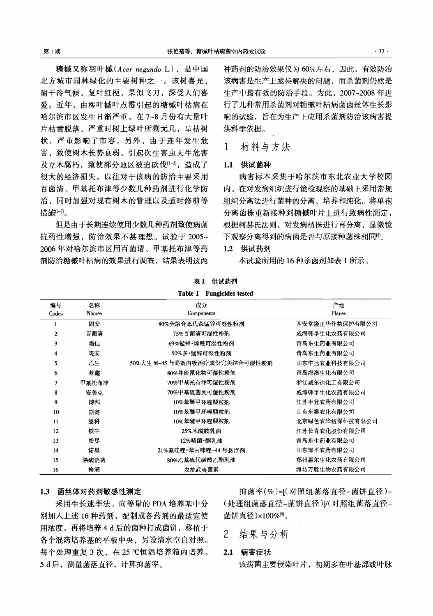糖槭又称羽叶槭(Acer negundo L.), 是中国 北方城市园林绿化的主要树种之一。该树喜光, 耐干冷气候,复叶红梗,果似飞刀,深受人们喜 爱。近年,由梣叶槭叶点霉引起的糖槭叶枯病在 哈尔滨市区发生日渐严重, 在7~8月份有大量叶 片枯黄脱落,严重时树上绿叶所剩无几,呈枯树 状,严重影响了市容。另外,由于连年发生危 害,致使树木长势衰弱,引起次生害虫天牛危害 及立木腐朽,致使部分地区被迫砍伐[1-2],造成了 很大的经济损失。以往对于该病的防治主要采用 百菌清、甲基托布津等少数几种药剂进行化学防 治,同时加强对现有树木的管理以及适时修剪等 措施<sup>[3-7]</sup>。

但是由于长期连续使用少数几种药剂致使病菌 抗药性增强, 防治效果不甚理想。试验于2005~ 2006年对哈尔滨市区用百菌请、甲基托布津等药 剂防治糖槭叶枯病的效果进行调查, 结果表明这两

种药剂的防治效果仅为60%左右,因此,有效防治 该病害是生产上亟待解决的问题,而杀菌剂仍然是 牛产中最有效的防治手段。为此, 2007~2008年进 行了几种常用杀菌剂对糖槭叶枯病菌菌丝体生长影 响的试验, 旨在为生产上应用杀菌剂防治该病害提 供科学依据。

#### 材料与方法  $\mathbf{1}$

### 1.1 供试菌种

病害标本采集干哈尔滨市东北农业大学校园 内。在对发病组织进行镜检观察的基础上采用常规 组织分离法进行菌种的分离、培养和纯化。将单孢 分离菌株重新接种到糖槭叶片上进行致病性测定, 根据柯赫氏法则, 对发病植株进行再分离, 显微镜 下观察分离得到的病菌是否与原接种菌株相同®。

### 1.2 供试药剂

本试验所用的16种杀菌剂如表1所示。

|                |       | <b>T AUCLAIRED WORLD</b>      |                |
|----------------|-------|-------------------------------|----------------|
| 编号             | 名称    | 成分                            | 产地             |
| Codes          | Names | Components                    | Places         |
| 1              | 固安    | 80%全络合态代森锰锌可湿性粉剂              | 西安常隆正华作物保护有限公司 |
| $\overline{2}$ | 百菌清   | 75%百菌清可湿性粉剂                   | 威海韩孚生化农药有限公司   |
| 3              | 霜佳    | 69%锰锌•烯酰可湿性粉剂                 | 青岛东生药业有限公司     |
| 4              | 斑安    | 50%多·锰锌可湿性粉剂                  | 青岛东生药业有限公司     |
| 5              | 乙生    | 50%大生 M-45 与高效内吸治疗成份完美结合可湿性粉剂 | 山东中达农业科技有限公司   |
| 6              | 蓝鑫    | 80%导硫氰化物可湿性粉剂                 | 青岛海澳生化有限公司     |
|                | 甲基托布津 | 70%甲基托布津可湿性粉剂                 | 浙江威尔达化工有限公司    |
| 8              | 安美克   | 70%甲基硫菌灵可湿性粉剂                 | 威海韩孚生化农药有限公司   |
| 9              | 博邦    | 10%苯醚甲环唑颗粒剂                   | 江苏丰登农药有限公司     |
| 10             | 斯高    | 10%苯醚甲环唑颗粒剂                   | 山东东泰农化有限公司     |
| 11             | 思科    | 10%苯醚甲环唑颗粒剂                   | 北京绿色农华植保科技有限公司 |
| 12             | 铁牛    | 25%米酰胺乳油                      | 江苏长青农化股份有限公司   |
| 13             | 粉尽    | 12%晴菌・酮乳油                     | 青岛东生药业有限公司     |
| 14             | 诺星    | 21%氟硅唑・苯丙咪唑-44 号悬浮剂           | 山东邹平农药有限公司     |
| 15             | 除病消菌  | 80%乙基硫代磺酸乙酯乳油                 | 郑州惠尔生化农药有限公司   |
| 16             | 格润    | 农抗武夷菌素                        | 潍坊万胜牛物农药有限公司   |

表1 供试药剂 Table 1 Eungicides tested

### 1.3 菌丝体对药剂敏感性测定

采用生长速率法。向等量的 PDA 培养基中分 别加入上述16种药剂, 配制成各药剂的最适宜使 用浓度, 再将培养 4 d 后的菌种打成菌饼, 移植于 各个混药培养基的平板中央,另设清水空白对照。 每个处理重复3次,在25℃恒温培养箱内培养。 5d后, 测量菌落直径, 计算抑菌率。

抑菌率(%)=[(对照组菌落直径-菌饼直径)-(处理组菌落直径-菌饼直径))/(对照组菌落直径-菌饼直径)×100%<sup>[9]</sup>。

 $\overline{2}$ 结果与分析

### 2.1 病害症状

该病菌主要侵染叶片, 初期多在叶基部或叶脉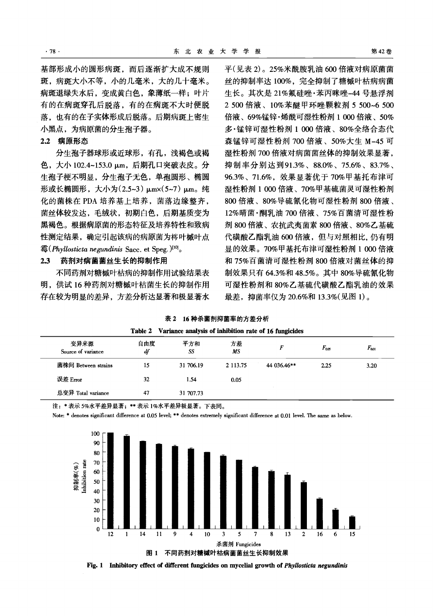基部形成小的圆形病斑, 而后逐渐扩大成不规则 斑,病斑大小不等,小的几毫米,大的几十毫米。 病斑退绿失水后, 变成黄白色, 象薄纸一样; 叶片 有的在病斑穿孔后脱落,有的在病斑不大时便脱 落,也有的在子实体形成后脱落。后期病斑上密生 小黑点,为病原菌的分生孢子器。

### 2.2 病原形态

分生孢子器球形或近球形, 有孔, 浅褐色或褐 色,大小 102.4~153.0 μm,后期孔口突破表皮。分 生孢子梗不明显,分生孢子无色,单孢圆形、椭圆 形或长椭圆形,大小为(2.5~3) μmx(5~7) μm。纯 化的菌株在 PDA 培养基上培养, 菌落边缘整齐, 菌丝体较发达,毛绒状,初期白色,后期基质变为 黑褐色。根据病原菌的形态特征及培养特性和致病 性测定结果, 确定引起该病的病原菌为梣叶槭叶点  $\mathfrak{F}$ (*Phyllosticta negundinis* Sacc. et Speg.)<sup>[10]</sup><sub>o</sub>

#### 药剂对病菌菌丝生长的抑制作用  $2.3$

不同药剂对糖槭叶枯病的抑制作用试验结果表 明, 供试 16 种药剂对糖槭叶枯菌生长的抑制作用 存在较为明显的差异,方差分析达显著和极显著水

平(见表2)。25%米酰胺乳油600倍液对病原菌菌 丝的抑制率达100%, 完全抑制了糖槭叶枯病病菌 生长。其次是 21%氟硅唑·苯丙咪唑-44号悬浮剂 2500 倍液、10%苯醚甲环唑颗粒剂 5 500~6 500 倍液、69%锰锌·烯酰可湿性粉剂 1 000 倍液、50% 多・锰锌可湿性粉剂1000 倍液、80%全络合态代 森锰锌可湿性粉剂 700 倍液、50%大生 M-45 可 湿性粉剂 700 倍液对病菌菌丝体的抑制效果显著, 抑制率分别达到91.3%、88.0%、75.6%、83.7%、 96.3%、71.6%, 效果显著优于 70%甲基托布津可 湿性粉剂 1 000 倍液、70%甲基硫菌灵可湿性粉剂 800 倍液、80%导硫氰化物可湿性粉剂 800 倍液、 12%晴菌·酮乳油 700 倍液、75%百菌清可湿性粉 剂 800 倍液、农抗武夷菌素 800 倍液、80%乙基硫 代磺酸乙酯乳油 600 倍液,但与对照相比,仍有明 显的效果。70%甲基托布津可湿性粉剂 1 000 倍液 和 75%百菌清可湿性粉剂 800 倍液对菌丝体的抑 制效果只有 64.3%和 48.5%。其中 80%导硫氰化物 可湿性粉剂和 80%乙基硫代磺酸乙酯乳油的效果 最差, 抑菌率仅为 20.6%和 13.3%(见图 1)。

| 表 2 16 种余菌剂抑菌半的方差分析 |  |
|---------------------|--|
|                     |  |

المرور الأولى الأولى الأولى المنظمة المواطنية والمنافسين المنافسين المنافسين المنافسين والمستقلين المنافسين

Variance analysis of inhibition note of 16 functables

|                            | ⊥ашс ∠<br>variance analysis of millionuoli rate of 10 millionues |           |          |             |                    |            |
|----------------------------|------------------------------------------------------------------|-----------|----------|-------------|--------------------|------------|
| 变异来源<br>Source of variance | 自由度<br>df                                                        | 平方和<br>SS | 方差<br>МS |             | $F_{\alpha\alpha}$ | $F_{0.01}$ |
| 菌株间 Between strains        | 15                                                               | 31 706.19 | 2 113.75 | 44 036.46** | 2.25               | 3.20       |
| 误差 Error                   | 32                                                               | 1.54      | 0.05     |             |                    |            |
| 总变异 Total variance         | 47                                                               | 31 707.73 |          |             |                    |            |

注: \*表示5%水平差异显著; \*\* 表示1%水平差异极显著。下表同。

Note: \* denotes significant difference at 0.05 level; \*\* denotes extremely significant difference at 0.01 level. The same as below.



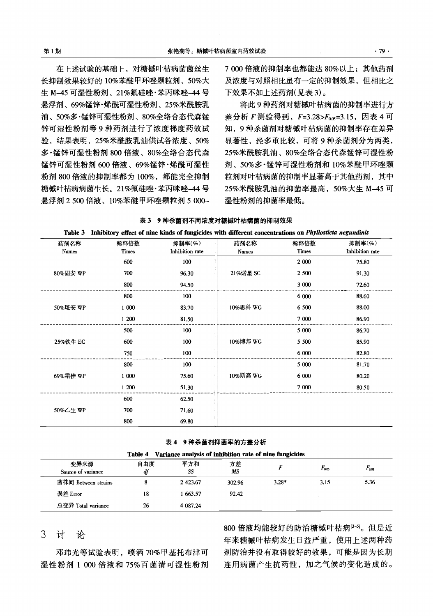在上述试验的基础上, 对糖槭叶枯病菌菌丝生 长抑制效果较好的10%苯醚甲环唑颗粒剂、50%大 生 M-45 可湿性粉剂、21%氟硅唑·苯丙咪唑-44 号 悬浮剂、69%锰锌・烯酰可湿性粉剂、25%米酰胺乳 油、50%多·锰锌可湿性粉剂、80%全络合态代森锰 锌可湿性粉剂等9种药剂进行了浓度梯度药效试 验,结果表明, 25%米酰胺乳油供试各浓度、50% 多·锰锌可湿性粉剂 800 倍液、80%全络合态代森 锰锌可湿性粉剂 600 倍液、69%锰锌·烯酰可湿性 粉剂 800 倍液的抑制率都为 100%, 都能完全抑制 糖槭叶枯病病菌生长。21%氟硅唑·苯丙咪唑-44号 悬浮剂 2 500 倍液、10%苯醚甲环唑颗粒剂 5 000~ 7 000 倍液的抑制率也都能达 80%以上;其他药剂 及浓度与对照相比虽有一定的抑制效果,但相比之 下效果不如上述药剂(见表3)。

将此9种药剂对糖槭叶枯病菌的抑制率进行方 差分析 F 测验得到, F=3.28>Fors=3.15, 因表 4 可 知,9种杀菌剂对糖槭叶枯病菌的抑制率存在差异 显著性, 经多重比较, 可将9种杀菌剂分为两类, 25%米酰胺乳油、80%全络合态代森锰锌可湿性粉 剂、50%多·锰锌可湿性粉剂和 10%苯醚甲环唑颗 粒剂对叶枯病菌的抑制率显著高于其他药剂, 其中 25%米酰胺乳油的抑菌率最高, 50%大生 M-45 可 湿性粉剂的抑菌率最低。

|               | THE MOTOR AND A CHAIR COURT OF THE CONTACT COMPANY ON A CONTACT AND CONTACT AND A COMPANY OF A COMPOSITION OF A |                           |               |               |                           |
|---------------|-----------------------------------------------------------------------------------------------------------------|---------------------------|---------------|---------------|---------------------------|
| 药剂名称<br>Names | 稀释倍数<br>Times                                                                                                   | 抑制率(%)<br>Inhibition rate | 药剂名称<br>Names | 稀释倍数<br>Times | 抑制率(%)<br>Inhibition rate |
|               | 600                                                                                                             | 100                       |               | 2 000         | 75.80                     |
| 80%固安 WP      | 700                                                                                                             | 96.30                     | 21%诺星 SC      | 2 500         | 91.30                     |
|               | 800                                                                                                             | 94.50                     |               | 3 000         | 72.60                     |
|               | 800                                                                                                             | 100                       |               | 6 000         | 88.60                     |
| 50%斑安 WP      | 1 000                                                                                                           | 83.70                     | 10%思科 WG      | 6 500         | 88.00                     |
|               | 1 200                                                                                                           | 81.50                     |               | 7 000         | 86.90                     |
|               | 500                                                                                                             | 100                       |               | 5 000         | 86.70                     |
| 25%铁牛 EC      | 600                                                                                                             | 100                       | 10%博邦 WG      | 5 500         | 85.90                     |
|               | 750                                                                                                             | 100                       |               | 6 000         | 82.80                     |
|               | 800                                                                                                             | 100                       |               | 5 000         | 81.70                     |
| 69%霜佳 WP      | 1 000                                                                                                           | 75.60                     | 10%斯高 WG      | 6 000         | 80.20                     |
|               | 1 200                                                                                                           | 51.30                     |               | 7 000         | 80.50                     |
|               | 600                                                                                                             | 62.50                     |               |               |                           |
| 50%乙生 WP      | 700                                                                                                             | 71.60                     |               |               |                           |
|               | 800                                                                                                             | 69.80                     |               |               |                           |

|  |  |  |  |  |  |  |  |  |  | Table 3 Inhibitory effect of nine kinds of fungicides with different concentrations on <i>Phyllosticta negundinis</i> |  |  |  |  |  |  |
|--|--|--|--|--|--|--|--|--|--|-----------------------------------------------------------------------------------------------------------------------|--|--|--|--|--|--|
|--|--|--|--|--|--|--|--|--|--|-----------------------------------------------------------------------------------------------------------------------|--|--|--|--|--|--|

### 表 4 9 种杀菌剂抑菌率的方差分析

|                            | Variance analysis of inhibition rate of nine fungicides<br>Table 4 |               |          |         |                    |                    |  |  |
|----------------------------|--------------------------------------------------------------------|---------------|----------|---------|--------------------|--------------------|--|--|
| 变异来源<br>Source of variance | 自由度<br>$\boldsymbol{d}$ f                                          | 平方和<br>SS     | 方差<br>MS |         | $F_{\alpha\alpha}$ | $F_{\alpha\alpha}$ |  |  |
| 菌株间 Between strains        | 8                                                                  | 2 4 2 3 . 6 7 | 302.96   | $3.28*$ | 3.15               | 5.36               |  |  |
| 误差 Error                   | 18                                                                 | 1 663.57      | 92.42    |         |                    |                    |  |  |
| 总变异 Total variance         | 26                                                                 | 4 087.24      |          |         |                    |                    |  |  |

#### 3 讨 论

邓玮光等试验表明, 喷洒 70%甲基托布津可 湿性粉剂 1 000 倍液和 75%百菌清可湿性粉剂

800 倍液均能较好的防治糖槭叶枯病[3-5]。但是近 年来糖槭叶枯病发生日益严重, 使用上述两种药 剂防治并没有取得较好的效果,可能是因为长期 连用病菌产生抗药性,加之气候的变化造成的。